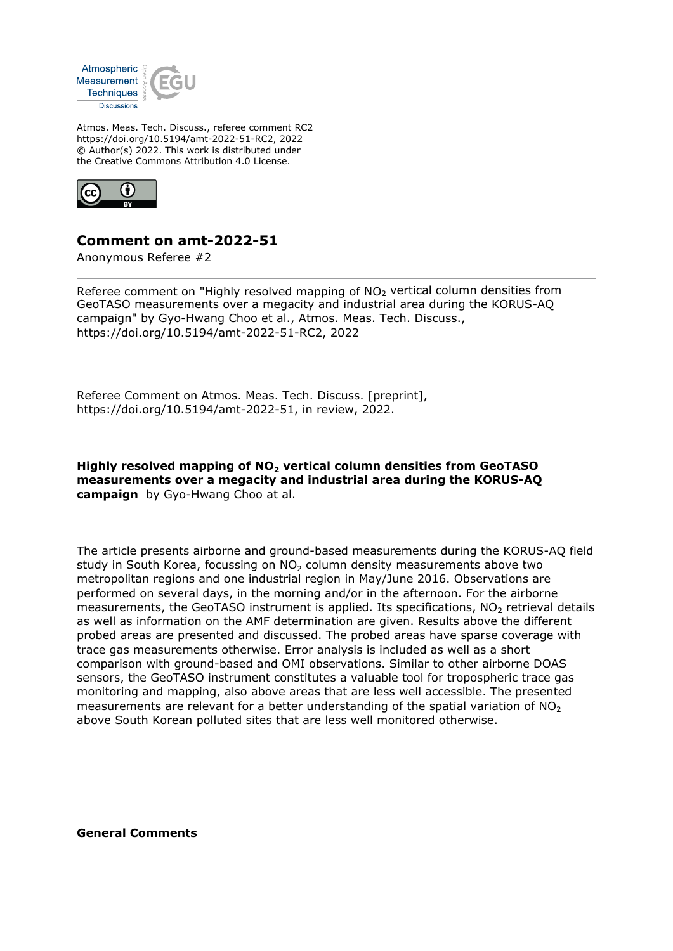

Atmos. Meas. Tech. Discuss., referee comment RC2 https://doi.org/10.5194/amt-2022-51-RC2, 2022 © Author(s) 2022. This work is distributed under the Creative Commons Attribution 4.0 License.



# **Comment on amt-2022-51**

Anonymous Referee #2

Referee comment on "Highly resolved mapping of  $NO<sub>2</sub>$  vertical column densities from GeoTASO measurements over a megacity and industrial area during the KORUS-AQ campaign" by Gyo-Hwang Choo et al., Atmos. Meas. Tech. Discuss., https://doi.org/10.5194/amt-2022-51-RC2, 2022

Referee Comment on Atmos. Meas. Tech. Discuss. [preprint], https://doi.org/10.5194/amt-2022-51, in review, 2022.

#### **Highly resolved mapping of NO2 vertical column densities from GeoTASO measurements over a megacity and industrial area during the KORUS-AQ campaign** by Gyo-Hwang Choo at al.

The article presents airborne and ground-based measurements during the KORUS-AQ field study in South Korea, focussing on  $NO<sub>2</sub>$  column density measurements above two metropolitan regions and one industrial region in May/June 2016. Observations are performed on several days, in the morning and/or in the afternoon. For the airborne measurements, the GeoTASO instrument is applied. Its specifications,  $NO<sub>2</sub>$  retrieval details as well as information on the AMF determination are given. Results above the different probed areas are presented and discussed. The probed areas have sparse coverage with trace gas measurements otherwise. Error analysis is included as well as a short comparison with ground-based and OMI observations. Similar to other airborne DOAS sensors, the GeoTASO instrument constitutes a valuable tool for tropospheric trace gas monitoring and mapping, also above areas that are less well accessible. The presented measurements are relevant for a better understanding of the spatial variation of  $NO<sub>2</sub>$ above South Korean polluted sites that are less well monitored otherwise.

**General Comments**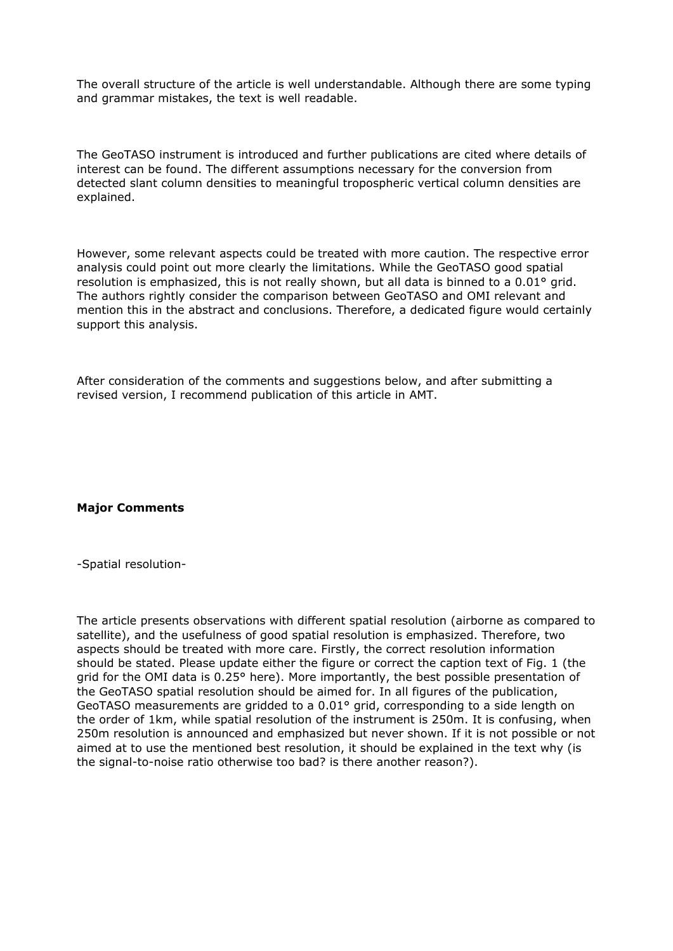The overall structure of the article is well understandable. Although there are some typing and grammar mistakes, the text is well readable.

The GeoTASO instrument is introduced and further publications are cited where details of interest can be found. The different assumptions necessary for the conversion from detected slant column densities to meaningful tropospheric vertical column densities are explained.

However, some relevant aspects could be treated with more caution. The respective error analysis could point out more clearly the limitations. While the GeoTASO good spatial resolution is emphasized, this is not really shown, but all data is binned to a 0.01° grid. The authors rightly consider the comparison between GeoTASO and OMI relevant and mention this in the abstract and conclusions. Therefore, a dedicated figure would certainly support this analysis.

After consideration of the comments and suggestions below, and after submitting a revised version, I recommend publication of this article in AMT.

#### **Major Comments**

-Spatial resolution-

The article presents observations with different spatial resolution (airborne as compared to satellite), and the usefulness of good spatial resolution is emphasized. Therefore, two aspects should be treated with more care. Firstly, the correct resolution information should be stated. Please update either the figure or correct the caption text of Fig. 1 (the grid for the OMI data is 0.25° here). More importantly, the best possible presentation of the GeoTASO spatial resolution should be aimed for. In all figures of the publication, GeoTASO measurements are gridded to a 0.01° grid, corresponding to a side length on the order of 1km, while spatial resolution of the instrument is 250m. It is confusing, when 250m resolution is announced and emphasized but never shown. If it is not possible or not aimed at to use the mentioned best resolution, it should be explained in the text why (is the signal-to-noise ratio otherwise too bad? is there another reason?).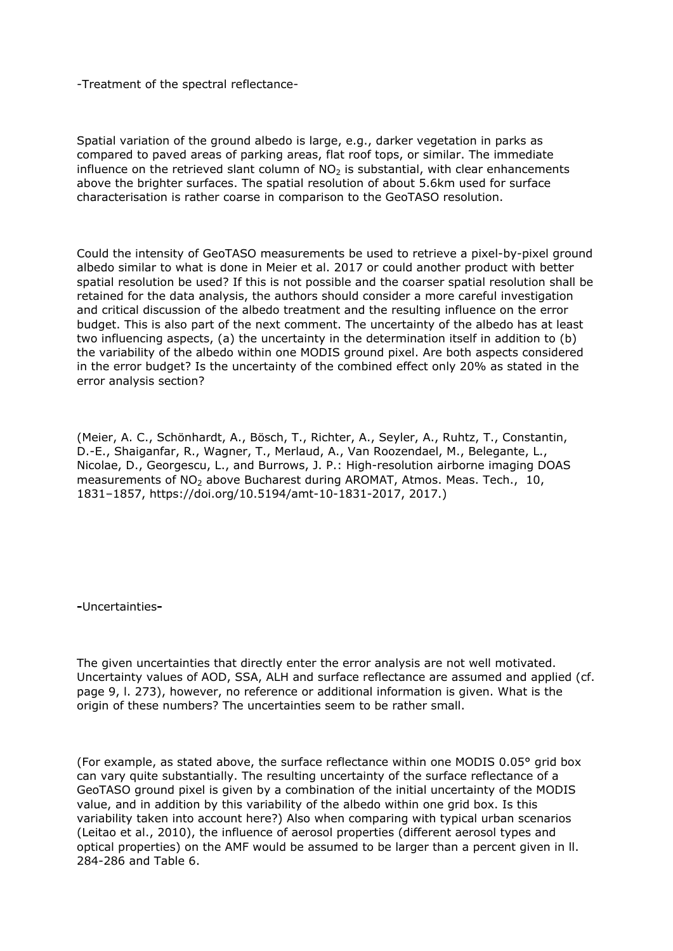-Treatment of the spectral reflectance-

Spatial variation of the ground albedo is large, e.g., darker vegetation in parks as compared to paved areas of parking areas, flat roof tops, or similar. The immediate influence on the retrieved slant column of  $NO<sub>2</sub>$  is substantial, with clear enhancements above the brighter surfaces. The spatial resolution of about 5.6km used for surface characterisation is rather coarse in comparison to the GeoTASO resolution.

Could the intensity of GeoTASO measurements be used to retrieve a pixel-by-pixel ground albedo similar to what is done in Meier et al. 2017 or could another product with better spatial resolution be used? If this is not possible and the coarser spatial resolution shall be retained for the data analysis, the authors should consider a more careful investigation and critical discussion of the albedo treatment and the resulting influence on the error budget. This is also part of the next comment. The uncertainty of the albedo has at least two influencing aspects, (a) the uncertainty in the determination itself in addition to (b) the variability of the albedo within one MODIS ground pixel. Are both aspects considered in the error budget? Is the uncertainty of the combined effect only 20% as stated in the error analysis section?

(Meier, A. C., Schönhardt, A., Bösch, T., Richter, A., Seyler, A., Ruhtz, T., Constantin, D.-E., Shaiganfar, R., Wagner, T., Merlaud, A., Van Roozendael, M., Belegante, L., Nicolae, D., Georgescu, L., and Burrows, J. P.: High-resolution airborne imaging DOAS measurements of NO<sub>2</sub> above Bucharest during AROMAT, Atmos. Meas. Tech., 10, 1831–1857, https://doi.org/10.5194/amt-10-1831-2017, 2017.)

**-**Uncertainties**-**

The given uncertainties that directly enter the error analysis are not well motivated. Uncertainty values of AOD, SSA, ALH and surface reflectance are assumed and applied (cf. page 9, l. 273), however, no reference or additional information is given. What is the origin of these numbers? The uncertainties seem to be rather small.

(For example, as stated above, the surface reflectance within one MODIS 0.05° grid box can vary quite substantially. The resulting uncertainty of the surface reflectance of a GeoTASO ground pixel is given by a combination of the initial uncertainty of the MODIS value, and in addition by this variability of the albedo within one grid box. Is this variability taken into account here?) Also when comparing with typical urban scenarios (Leitao et al., 2010), the influence of aerosol properties (different aerosol types and optical properties) on the AMF would be assumed to be larger than a percent given in ll. 284-286 and Table 6.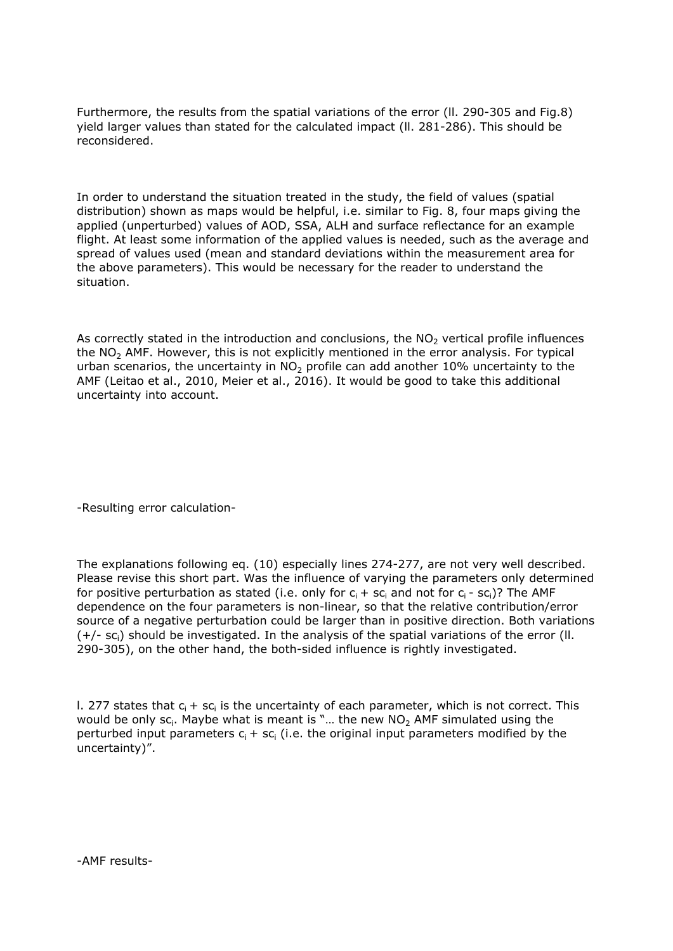Furthermore, the results from the spatial variations of the error (ll. 290-305 and Fig.8) yield larger values than stated for the calculated impact (ll. 281-286). This should be reconsidered.

In order to understand the situation treated in the study, the field of values (spatial distribution) shown as maps would be helpful, i.e. similar to Fig. 8, four maps giving the applied (unperturbed) values of AOD, SSA, ALH and surface reflectance for an example flight. At least some information of the applied values is needed, such as the average and spread of values used (mean and standard deviations within the measurement area for the above parameters). This would be necessary for the reader to understand the situation.

As correctly stated in the introduction and conclusions, the  $NO<sub>2</sub>$  vertical profile influences the  $NO<sub>2</sub>$  AMF. However, this is not explicitly mentioned in the error analysis. For typical urban scenarios, the uncertainty in  $NO<sub>2</sub>$  profile can add another 10% uncertainty to the AMF (Leitao et al., 2010, Meier et al., 2016). It would be good to take this additional uncertainty into account.

-Resulting error calculation-

The explanations following eq. (10) especially lines 274-277, are not very well described. Please revise this short part. Was the influence of varying the parameters only determined for positive perturbation as stated (i.e. only for  $c_i$  + sc<sub>i</sub> and not for  $c_i$  - sc<sub>i</sub>)? The AMF dependence on the four parameters is non-linear, so that the relative contribution/error source of a negative perturbation could be larger than in positive direction. Both variations  $(+/-$  sc<sub>i</sub>) should be investigated. In the analysis of the spatial variations of the error (II. 290-305), on the other hand, the both-sided influence is rightly investigated.

l. 277 states that c<sub>i</sub> + sc<sub>i</sub> is the uncertainty of each parameter, which is not correct. This would be only sc<sub>i</sub>. Maybe what is meant is "... the new  $NO<sub>2</sub>$  AMF simulated using the perturbed input parameters  $c_i$  + sc<sub>i</sub> (i.e. the original input parameters modified by the uncertainty)".

-AMF results-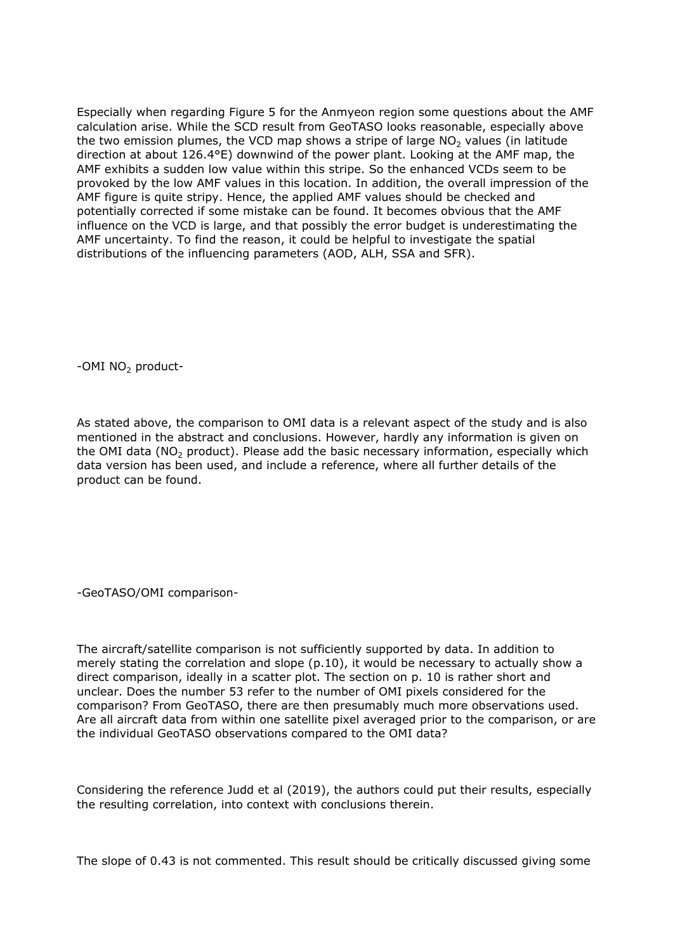Especially when regarding Figure 5 for the Anmyeon region some questions about the AMF calculation arise. While the SCD result from GeoTASO looks reasonable, especially above the two emission plumes, the VCD map shows a stripe of large  $NO<sub>2</sub>$  values (in latitude direction at about 126.4°E) downwind of the power plant. Looking at the AMF map, the AMF exhibits a sudden low value within this stripe. So the enhanced VCDs seem to be provoked by the low AMF values in this location. In addition, the overall impression of the AMF figure is quite stripy. Hence, the applied AMF values should be checked and potentially corrected if some mistake can be found. It becomes obvious that the AMF influence on the VCD is large, and that possibly the error budget is underestimating the AMF uncertainty. To find the reason, it could be helpful to investigate the spatial distributions of the influencing parameters (AOD, ALH, SSA and SFR).

-OMI $NO<sub>2</sub>$  product-

As stated above, the comparison to OMI data is a relevant aspect of the study and is also mentioned in the abstract and conclusions. However, hardly any information is given on the OMI data ( $NO<sub>2</sub>$  product). Please add the basic necessary information, especially which data version has been used, and include a reference, where all further details of the product can be found.

-GeoTASO/OMI comparison-

The aircraft/satellite comparison is not sufficiently supported by data. In addition to merely stating the correlation and slope (p.10), it would be necessary to actually show a direct comparison, ideally in a scatter plot. The section on p. 10 is rather short and unclear. Does the number 53 refer to the number of OMI pixels considered for the comparison? From GeoTASO, there are then presumably much more observations used. Are all aircraft data from within one satellite pixel averaged prior to the comparison, or are the individual GeoTASO observations compared to the OMI data?

Considering the reference Judd et al (2019), the authors could put their results, especially the resulting correlation, into context with conclusions therein.

The slope of 0.43 is not commented. This result should be critically discussed giving some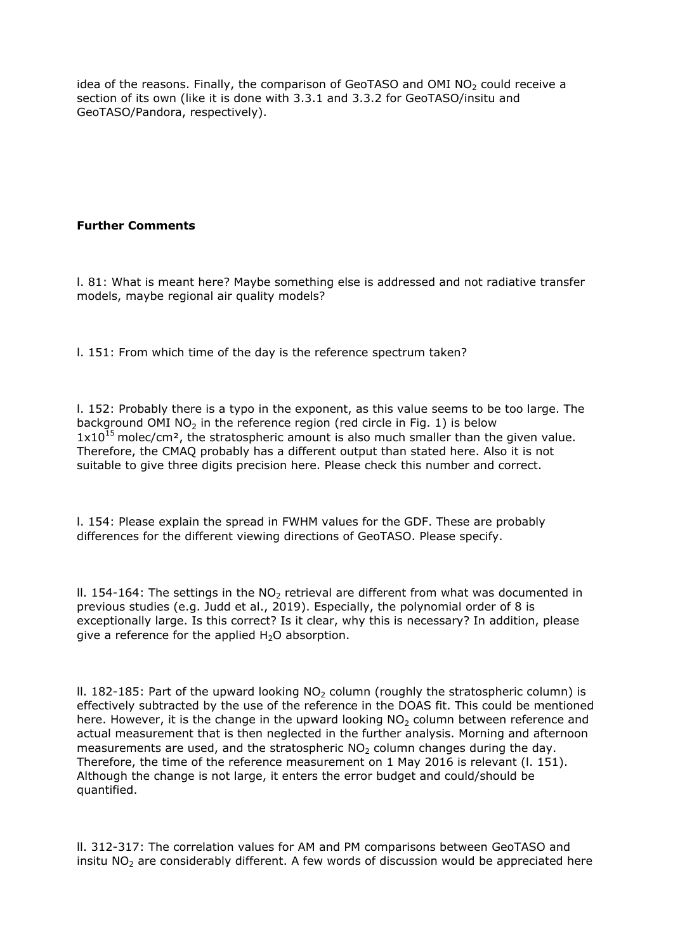idea of the reasons. Finally, the comparison of GeoTASO and OMI  $NO<sub>2</sub>$  could receive a section of its own (like it is done with 3.3.1 and 3.3.2 for GeoTASO/insitu and GeoTASO/Pandora, respectively).

### **Further Comments**

l. 81: What is meant here? Maybe something else is addressed and not radiative transfer models, maybe regional air quality models?

l. 151: From which time of the day is the reference spectrum taken?

l. 152: Probably there is a typo in the exponent, as this value seems to be too large. The background OMI NO<sub>2</sub> in the reference region (red circle in Fig. 1) is below  $1x10^{15}$  molec/cm<sup>2</sup>, the stratospheric amount is also much smaller than the given value. Therefore, the CMAQ probably has a different output than stated here. Also it is not suitable to give three digits precision here. Please check this number and correct.

l. 154: Please explain the spread in FWHM values for the GDF. These are probably differences for the different viewing directions of GeoTASO. Please specify.

II. 154-164: The settings in the NO<sub>2</sub> retrieval are different from what was documented in previous studies (e.g. Judd et al., 2019). Especially, the polynomial order of 8 is exceptionally large. Is this correct? Is it clear, why this is necessary? In addition, please give a reference for the applied  $H_2O$  absorption.

ll. 182-185: Part of the upward looking  $NO<sub>2</sub>$  column (roughly the stratospheric column) is effectively subtracted by the use of the reference in the DOAS fit. This could be mentioned here. However, it is the change in the upward looking  $NO<sub>2</sub>$  column between reference and actual measurement that is then neglected in the further analysis. Morning and afternoon measurements are used, and the stratospheric  $NO<sub>2</sub>$  column changes during the day. Therefore, the time of the reference measurement on 1 May 2016 is relevant (l. 151). Although the change is not large, it enters the error budget and could/should be quantified.

ll. 312-317: The correlation values for AM and PM comparisons between GeoTASO and insitu  $NO<sub>2</sub>$  are considerably different. A few words of discussion would be appreciated here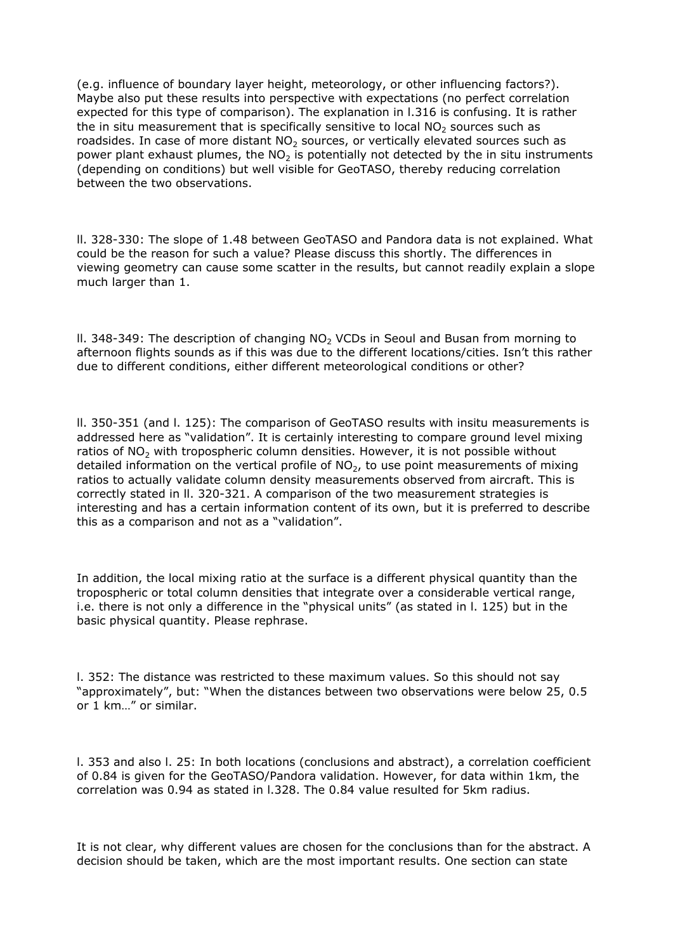(e.g. influence of boundary layer height, meteorology, or other influencing factors?). Maybe also put these results into perspective with expectations (no perfect correlation expected for this type of comparison). The explanation in l.316 is confusing. It is rather the in situ measurement that is specifically sensitive to local  $NO<sub>2</sub>$  sources such as roadsides. In case of more distant  $NO<sub>2</sub>$  sources, or vertically elevated sources such as power plant exhaust plumes, the  $NO<sub>2</sub>$  is potentially not detected by the in situ instruments (depending on conditions) but well visible for GeoTASO, thereby reducing correlation between the two observations.

ll. 328-330: The slope of 1.48 between GeoTASO and Pandora data is not explained. What could be the reason for such a value? Please discuss this shortly. The differences in viewing geometry can cause some scatter in the results, but cannot readily explain a slope much larger than 1.

II. 348-349: The description of changing  $NO<sub>2</sub>$  VCDs in Seoul and Busan from morning to afternoon flights sounds as if this was due to the different locations/cities. Isn't this rather due to different conditions, either different meteorological conditions or other?

ll. 350-351 (and l. 125): The comparison of GeoTASO results with insitu measurements is addressed here as "validation". It is certainly interesting to compare ground level mixing ratios of  $NO<sub>2</sub>$  with tropospheric column densities. However, it is not possible without detailed information on the vertical profile of  $NO<sub>2</sub>$ , to use point measurements of mixing ratios to actually validate column density measurements observed from aircraft. This is correctly stated in ll. 320-321. A comparison of the two measurement strategies is interesting and has a certain information content of its own, but it is preferred to describe this as a comparison and not as a "validation".

In addition, the local mixing ratio at the surface is a different physical quantity than the tropospheric or total column densities that integrate over a considerable vertical range, i.e. there is not only a difference in the "physical units" (as stated in l. 125) but in the basic physical quantity. Please rephrase.

l. 352: The distance was restricted to these maximum values. So this should not say "approximately", but: "When the distances between two observations were below 25, 0.5 or 1 km…" or similar.

l. 353 and also l. 25: In both locations (conclusions and abstract), a correlation coefficient of 0.84 is given for the GeoTASO/Pandora validation. However, for data within 1km, the correlation was 0.94 as stated in l.328. The 0.84 value resulted for 5km radius.

It is not clear, why different values are chosen for the conclusions than for the abstract. A decision should be taken, which are the most important results. One section can state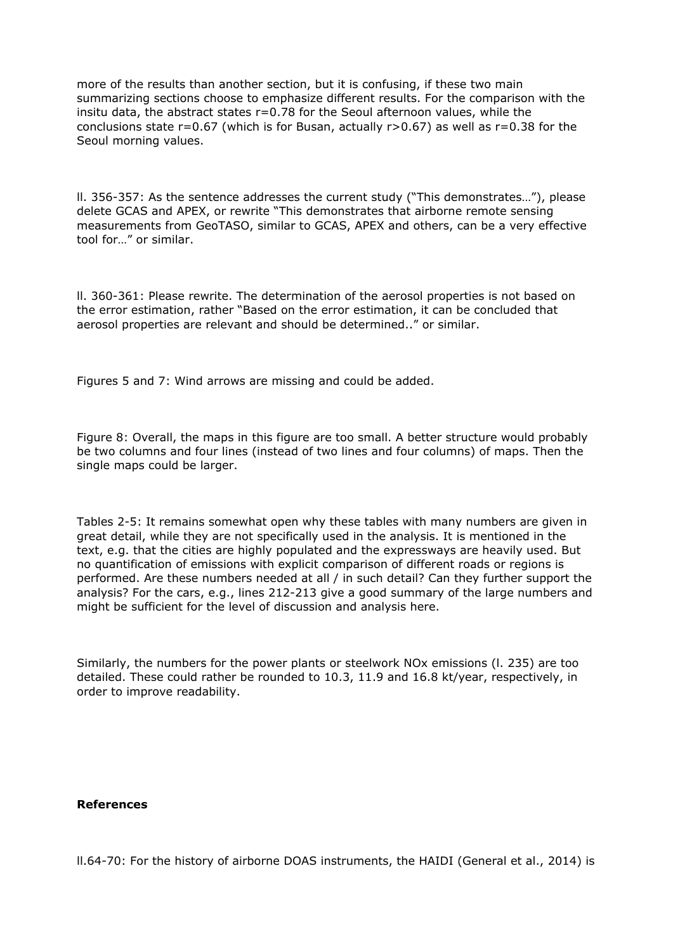more of the results than another section, but it is confusing, if these two main summarizing sections choose to emphasize different results. For the comparison with the insitu data, the abstract states  $r=0.78$  for the Seoul afternoon values, while the conclusions state  $r=0.67$  (which is for Busan, actually  $r>0.67$ ) as well as  $r=0.38$  for the Seoul morning values.

ll. 356-357: As the sentence addresses the current study ("This demonstrates…"), please delete GCAS and APEX, or rewrite "This demonstrates that airborne remote sensing measurements from GeoTASO, similar to GCAS, APEX and others, can be a very effective tool for…" or similar.

ll. 360-361: Please rewrite. The determination of the aerosol properties is not based on the error estimation, rather "Based on the error estimation, it can be concluded that aerosol properties are relevant and should be determined.." or similar.

Figures 5 and 7: Wind arrows are missing and could be added.

Figure 8: Overall, the maps in this figure are too small. A better structure would probably be two columns and four lines (instead of two lines and four columns) of maps. Then the single maps could be larger.

Tables 2-5: It remains somewhat open why these tables with many numbers are given in great detail, while they are not specifically used in the analysis. It is mentioned in the text, e.g. that the cities are highly populated and the expressways are heavily used. But no quantification of emissions with explicit comparison of different roads or regions is performed. Are these numbers needed at all / in such detail? Can they further support the analysis? For the cars, e.g., lines 212-213 give a good summary of the large numbers and might be sufficient for the level of discussion and analysis here.

Similarly, the numbers for the power plants or steelwork NOx emissions (l. 235) are too detailed. These could rather be rounded to 10.3, 11.9 and 16.8 kt/year, respectively, in order to improve readability.

#### **References**

ll.64-70: For the history of airborne DOAS instruments, the HAIDI (General et al., 2014) is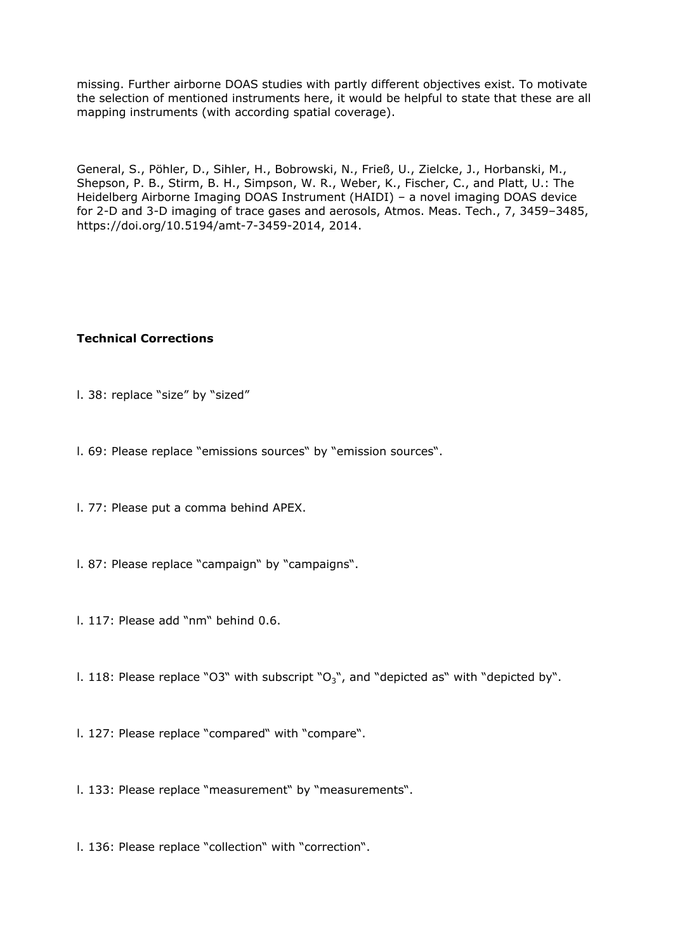missing. Further airborne DOAS studies with partly different objectives exist. To motivate the selection of mentioned instruments here, it would be helpful to state that these are all mapping instruments (with according spatial coverage).

General, S., Pöhler, D., Sihler, H., Bobrowski, N., Frieß, U., Zielcke, J., Horbanski, M., Shepson, P. B., Stirm, B. H., Simpson, W. R., Weber, K., Fischer, C., and Platt, U.: The Heidelberg Airborne Imaging DOAS Instrument (HAIDI) – a novel imaging DOAS device for 2-D and 3-D imaging of trace gases and aerosols, Atmos. Meas. Tech., 7, 3459–3485, https://doi.org/10.5194/amt-7-3459-2014, 2014.

## **Technical Corrections**

- l. 38: replace "size" by "sized"
- l. 69: Please replace "emissions sources" by "emission sources".
- l. 77: Please put a comma behind APEX.
- l. 87: Please replace "campaign" by "campaigns".
- l. 117: Please add "nm" behind 0.6.
- l. 118: Please replace "O3" with subscript " $O_3$ ", and "depicted as" with "depicted by".
- l. 127: Please replace "compared" with "compare".
- l. 133: Please replace "measurement" by "measurements".
- l. 136: Please replace "collection" with "correction".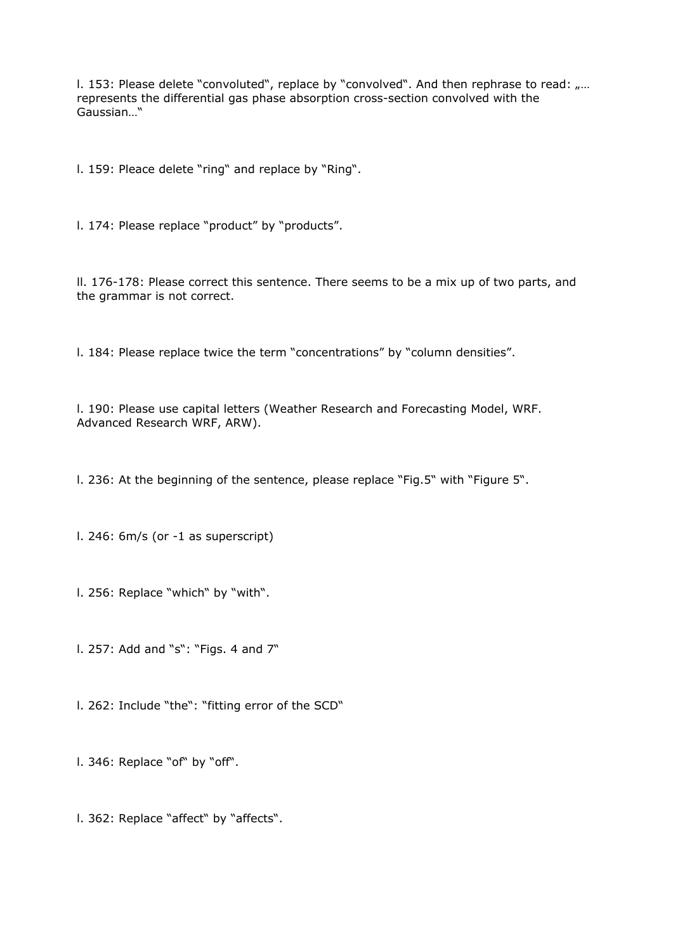l. 153: Please delete "convoluted", replace by "convolved". And then rephrase to read: "... represents the differential gas phase absorption cross-section convolved with the Gaussian…"

l. 159: Pleace delete "ring" and replace by "Ring".

l. 174: Please replace "product" by "products".

ll. 176-178: Please correct this sentence. There seems to be a mix up of two parts, and the grammar is not correct.

l. 184: Please replace twice the term "concentrations" by "column densities".

l. 190: Please use capital letters (Weather Research and Forecasting Model, WRF. Advanced Research WRF, ARW).

l. 236: At the beginning of the sentence, please replace "Fig.5" with "Figure 5".

l. 246: 6m/s (or -1 as superscript)

l. 256: Replace "which" by "with".

l. 257: Add and "s": "Figs. 4 and 7"

l. 262: Include "the": "fitting error of the SCD"

l. 346: Replace "of" by "off".

l. 362: Replace "affect" by "affects".